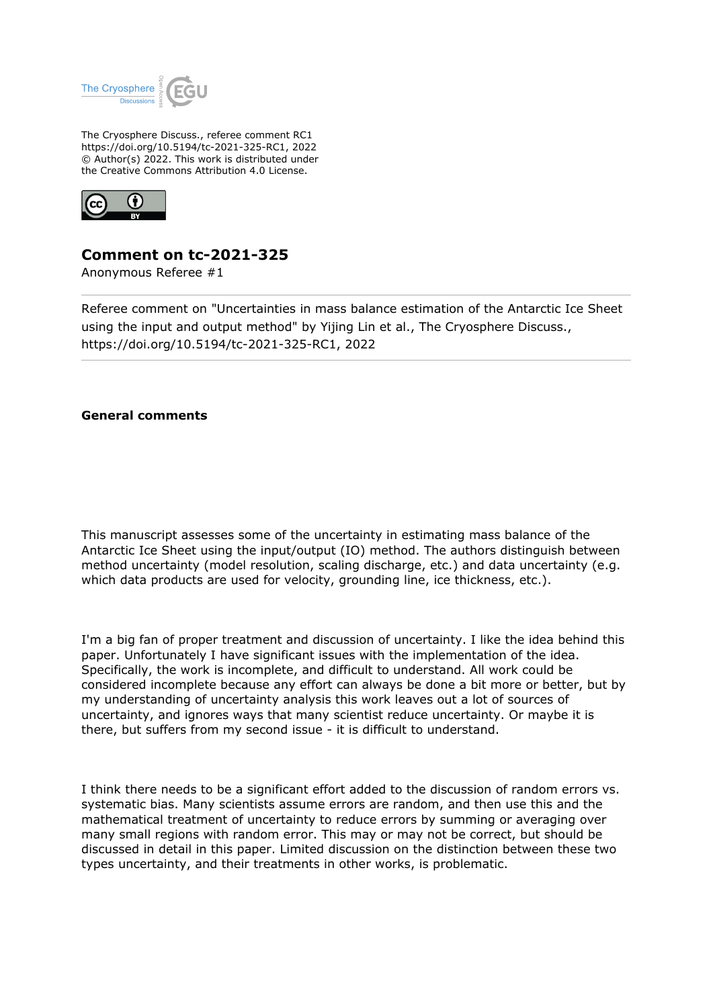

The Cryosphere Discuss., referee comment RC1 https://doi.org/10.5194/tc-2021-325-RC1, 2022 © Author(s) 2022. This work is distributed under the Creative Commons Attribution 4.0 License.



## **Comment on tc-2021-325**

Anonymous Referee #1

Referee comment on "Uncertainties in mass balance estimation of the Antarctic Ice Sheet using the input and output method" by Yijing Lin et al., The Cryosphere Discuss., https://doi.org/10.5194/tc-2021-325-RC1, 2022

## **General comments**

This manuscript assesses some of the uncertainty in estimating mass balance of the Antarctic Ice Sheet using the input/output (IO) method. The authors distinguish between method uncertainty (model resolution, scaling discharge, etc.) and data uncertainty (e.g. which data products are used for velocity, grounding line, ice thickness, etc.).

I'm a big fan of proper treatment and discussion of uncertainty. I like the idea behind this paper. Unfortunately I have significant issues with the implementation of the idea. Specifically, the work is incomplete, and difficult to understand. All work could be considered incomplete because any effort can always be done a bit more or better, but by my understanding of uncertainty analysis this work leaves out a lot of sources of uncertainty, and ignores ways that many scientist reduce uncertainty. Or maybe it is there, but suffers from my second issue - it is difficult to understand.

I think there needs to be a significant effort added to the discussion of random errors vs. systematic bias. Many scientists assume errors are random, and then use this and the mathematical treatment of uncertainty to reduce errors by summing or averaging over many small regions with random error. This may or may not be correct, but should be discussed in detail in this paper. Limited discussion on the distinction between these two types uncertainty, and their treatments in other works, is problematic.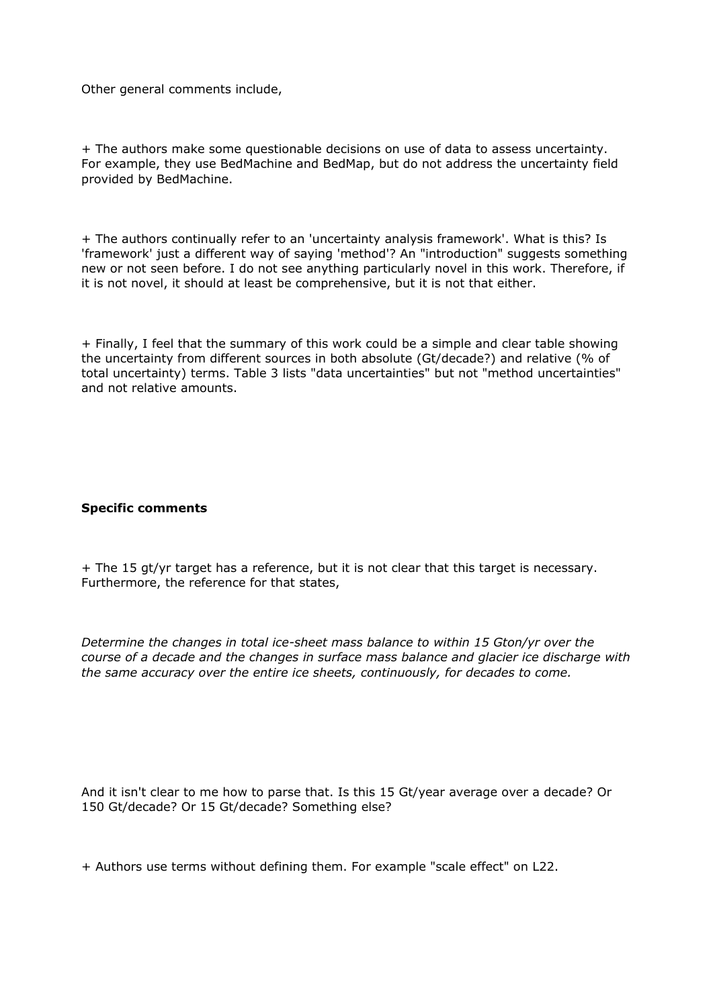Other general comments include,

+ The authors make some questionable decisions on use of data to assess uncertainty. For example, they use BedMachine and BedMap, but do not address the uncertainty field provided by BedMachine.

+ The authors continually refer to an 'uncertainty analysis framework'. What is this? Is 'framework' just a different way of saying 'method'? An "introduction" suggests something new or not seen before. I do not see anything particularly novel in this work. Therefore, if it is not novel, it should at least be comprehensive, but it is not that either.

+ Finally, I feel that the summary of this work could be a simple and clear table showing the uncertainty from different sources in both absolute (Gt/decade?) and relative (% of total uncertainty) terms. Table 3 lists "data uncertainties" but not "method uncertainties" and not relative amounts.

## **Specific comments**

+ The 15 gt/yr target has a reference, but it is not clear that this target is necessary. Furthermore, the reference for that states,

*Determine the changes in total ice-sheet mass balance to within 15 Gton/yr over the course of a decade and the changes in surface mass balance and glacier ice discharge with the same accuracy over the entire ice sheets, continuously, for decades to come.*

And it isn't clear to me how to parse that. Is this 15 Gt/year average over a decade? Or 150 Gt/decade? Or 15 Gt/decade? Something else?

+ Authors use terms without defining them. For example "scale effect" on L22.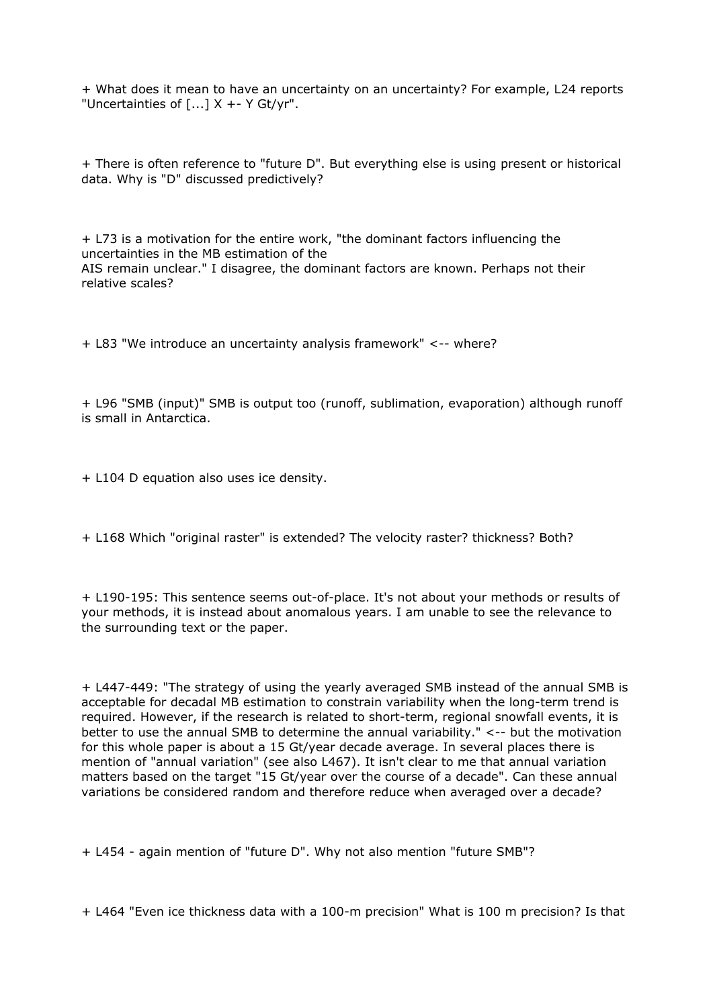+ What does it mean to have an uncertainty on an uncertainty? For example, L24 reports "Uncertainties of  $[...] \times +- Y Gt/yr$ ".

+ There is often reference to "future D". But everything else is using present or historical data. Why is "D" discussed predictively?

+ L73 is a motivation for the entire work, "the dominant factors influencing the uncertainties in the MB estimation of the AIS remain unclear." I disagree, the dominant factors are known. Perhaps not their relative scales?

+ L83 "We introduce an uncertainty analysis framework" <-- where?

+ L96 "SMB (input)" SMB is output too (runoff, sublimation, evaporation) although runoff is small in Antarctica.

+ L104 D equation also uses ice density.

+ L168 Which "original raster" is extended? The velocity raster? thickness? Both?

+ L190-195: This sentence seems out-of-place. It's not about your methods or results of your methods, it is instead about anomalous years. I am unable to see the relevance to the surrounding text or the paper.

+ L447-449: "The strategy of using the yearly averaged SMB instead of the annual SMB is acceptable for decadal MB estimation to constrain variability when the long-term trend is required. However, if the research is related to short-term, regional snowfall events, it is better to use the annual SMB to determine the annual variability." <-- but the motivation for this whole paper is about a 15 Gt/year decade average. In several places there is mention of "annual variation" (see also L467). It isn't clear to me that annual variation matters based on the target "15 Gt/year over the course of a decade". Can these annual variations be considered random and therefore reduce when averaged over a decade?

+ L454 - again mention of "future D". Why not also mention "future SMB"?

+ L464 "Even ice thickness data with a 100-m precision" What is 100 m precision? Is that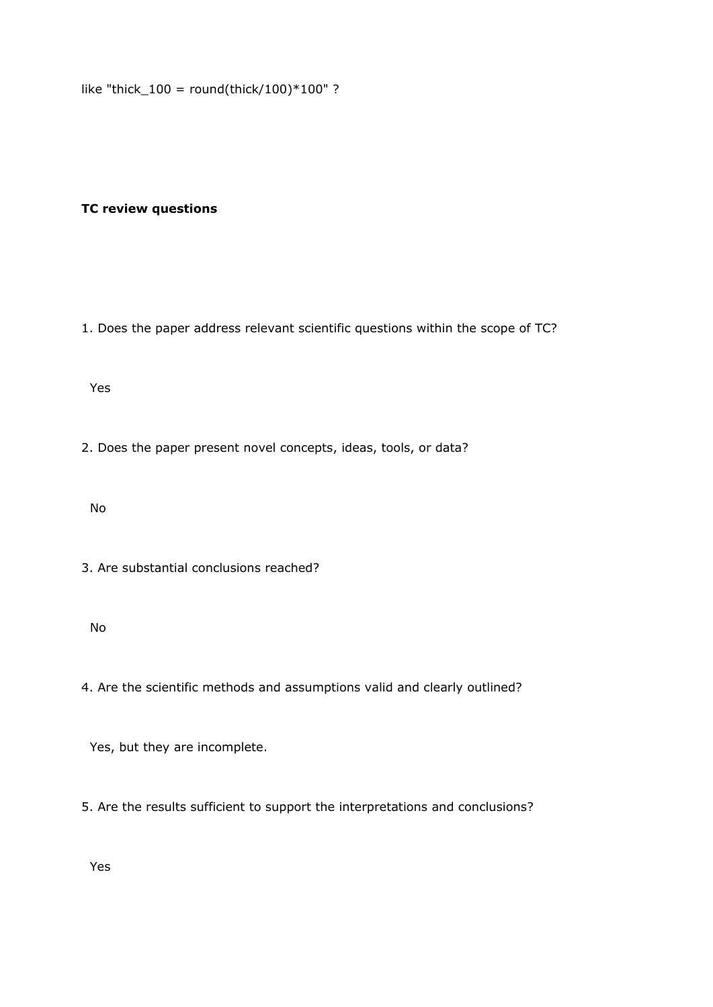like "thick  $100 =$  round(thick/100)\*100" ?

## **TC review questions**

1. Does the paper address relevant scientific questions within the scope of TC?

Yes

2. Does the paper present novel concepts, ideas, tools, or data?

No

3. Are substantial conclusions reached?

No

4. Are the scientific methods and assumptions valid and clearly outlined?

Yes, but they are incomplete.

5. Are the results sufficient to support the interpretations and conclusions?

Yes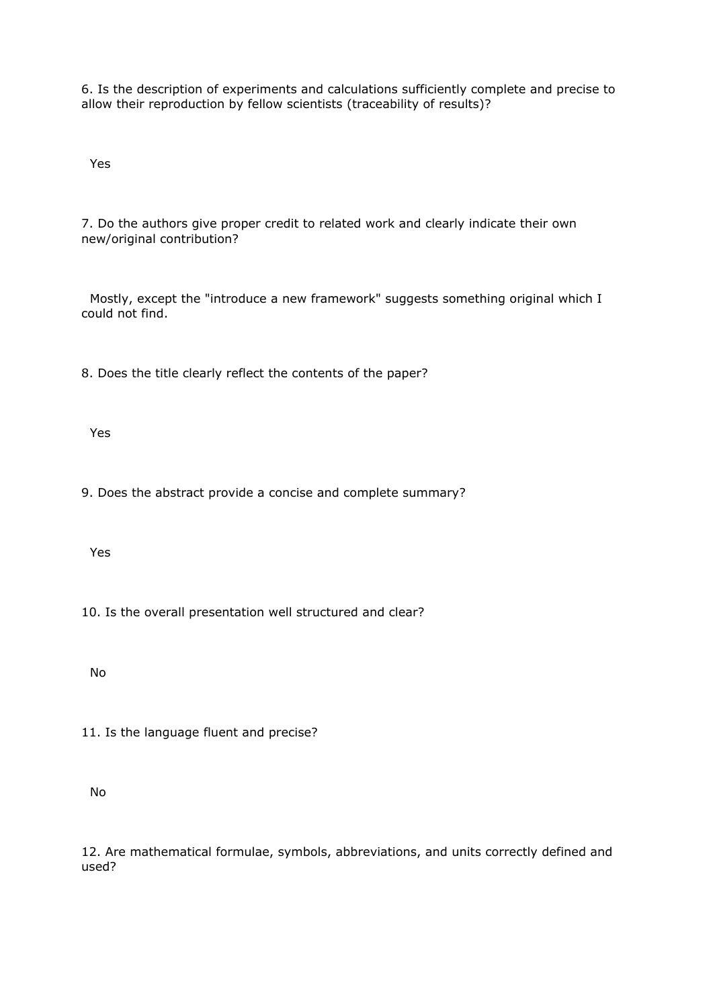6. Is the description of experiments and calculations sufficiently complete and precise to allow their reproduction by fellow scientists (traceability of results)?

Yes

7. Do the authors give proper credit to related work and clearly indicate their own new/original contribution?

 Mostly, except the "introduce a new framework" suggests something original which I could not find.

8. Does the title clearly reflect the contents of the paper?

Yes

9. Does the abstract provide a concise and complete summary?

Yes

10. Is the overall presentation well structured and clear?

No

11. Is the language fluent and precise?

No

12. Are mathematical formulae, symbols, abbreviations, and units correctly defined and used?